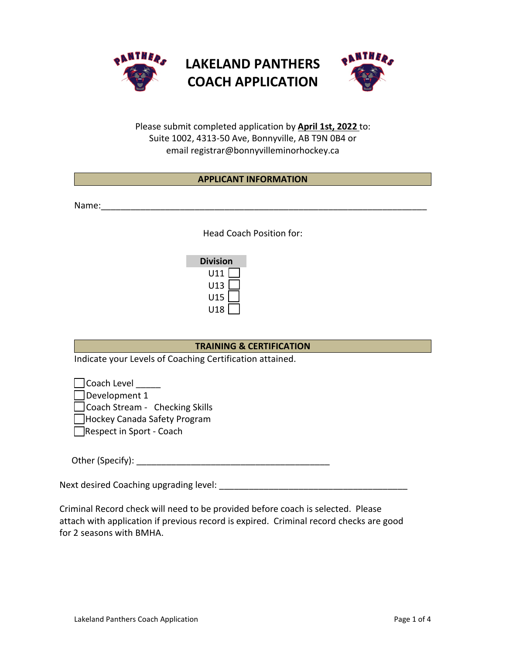





Please submit completed application by **April 1st, 2022** to: Suite 1002, 4313-50 Ave, Bonnyville, AB T9N 0B4 or email registrar@bonnyvilleminorhockey.ca

# **APPLICANT INFORMATION**

Name:

Head Coach Position for:

| Division |  |  |
|----------|--|--|
| U11      |  |  |
| U13      |  |  |
| U15      |  |  |
| U18      |  |  |

# **TRAINING & CERTIFICATION**

Indicate your Levels of Coaching Certification attained.

 $\Box$  Coach Level Development 1

□ Coach Stream - Checking Skills

□Hockey Canada Safety Program

Respect in Sport - Coach

Other (Specify): \_\_\_\_\_\_\_\_\_\_\_\_\_\_\_\_\_\_\_\_\_\_\_\_\_\_\_\_\_\_\_\_\_\_\_\_\_\_\_

Next desired Coaching upgrading level: \_\_\_\_\_\_\_\_\_\_\_\_\_\_\_\_\_\_\_\_\_\_\_\_\_\_\_\_\_\_\_\_\_\_\_\_\_\_

Criminal Record check will need to be provided before coach is selected. Please attach with application if previous record is expired. Criminal record checks are good for 2 seasons with BMHA.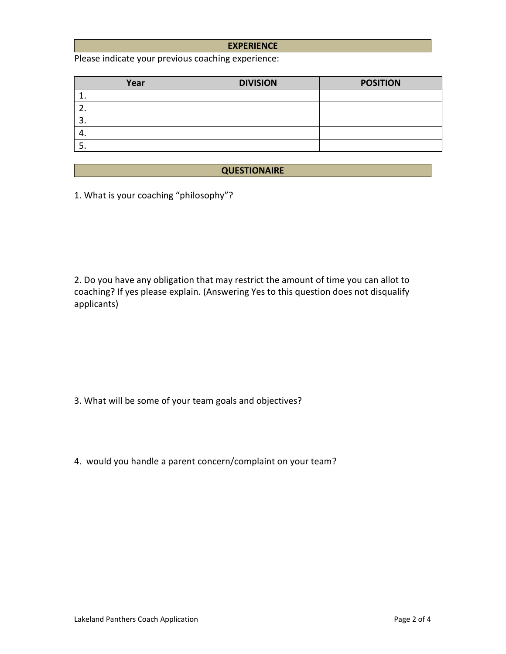### **EXPERIENCE**

Please indicate your previous coaching experience:

| Year     | <b>DIVISION</b> | <b>POSITION</b> |
|----------|-----------------|-----------------|
|          |                 |                 |
| <u>.</u> |                 |                 |
| . ب      |                 |                 |
| 4.       |                 |                 |
|          |                 |                 |

## **QUESTIONAIRE**

1. What is your coaching "philosophy"?

2. Do you have any obligation that may restrict the amount of time you can allot to coaching? If yes please explain. (Answering Yes to this question does not disqualify applicants)

3. What will be some of your team goals and objectives?

4. would you handle a parent concern/complaint on your team?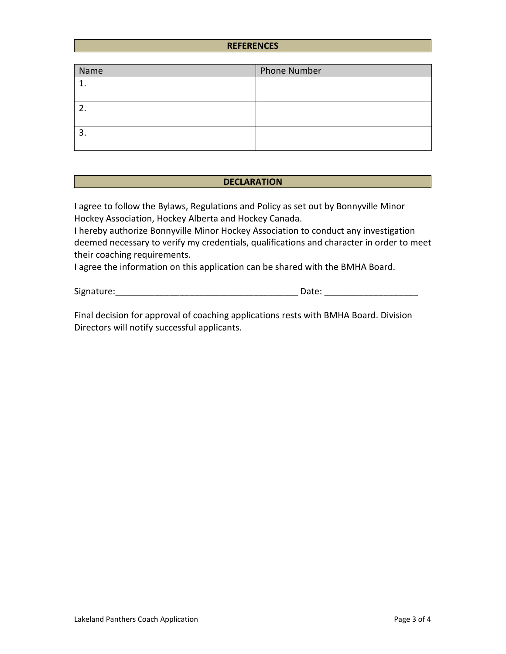### **REFERENCES**

| Name | <b>Phone Number</b> |
|------|---------------------|
|      |                     |
|      |                     |
|      |                     |
|      |                     |
| J.   |                     |
|      |                     |

### **DECLARATION**

I agree to follow the Bylaws, Regulations and Policy as set out by Bonnyville Minor Hockey Association, Hockey Alberta and Hockey Canada.

I hereby authorize Bonnyville Minor Hockey Association to conduct any investigation deemed necessary to verify my credentials, qualifications and character in order to meet their coaching requirements.

I agree the information on this application can be shared with the BMHA Board.

Signature: The contract of the contract of the contract of the Date:  $\Box$  Date:  $\Box$ 

Final decision for approval of coaching applications rests with BMHA Board. Division Directors will notify successful applicants.